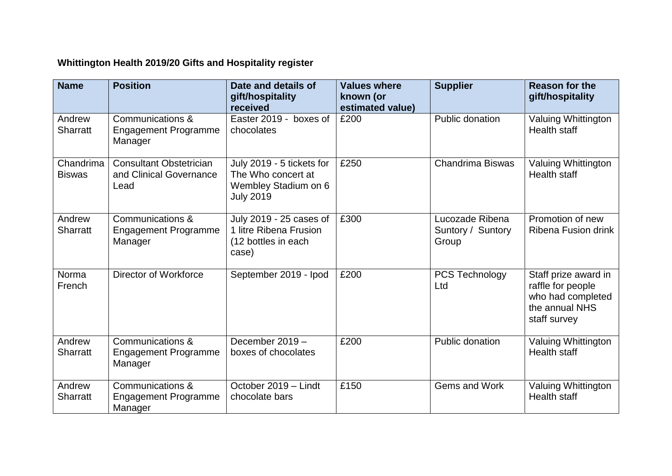## **Whittington Health 2019/20 Gifts and Hospitality register**

| <b>Name</b>                | <b>Position</b>                                                   | Date and details of<br>gift/hospitality<br>received                                         | <b>Values where</b><br>known (or<br>estimated value) | <b>Supplier</b>                               | <b>Reason for the</b><br>gift/hospitality                                                        |
|----------------------------|-------------------------------------------------------------------|---------------------------------------------------------------------------------------------|------------------------------------------------------|-----------------------------------------------|--------------------------------------------------------------------------------------------------|
| Andrew<br><b>Sharratt</b>  | Communications &<br><b>Engagement Programme</b><br>Manager        | Easter 2019 - boxes of<br>chocolates                                                        | £200                                                 | Public donation                               | Valuing Whittington<br>Health staff                                                              |
| Chandrima<br><b>Biswas</b> | <b>Consultant Obstetrician</b><br>and Clinical Governance<br>Lead | July 2019 - 5 tickets for<br>The Who concert at<br>Wembley Stadium on 6<br><b>July 2019</b> | £250                                                 | Chandrima Biswas                              | Valuing Whittington<br>Health staff                                                              |
| Andrew<br><b>Sharratt</b>  | Communications &<br><b>Engagement Programme</b><br>Manager        | July 2019 - 25 cases of<br>1 litre Ribena Frusion<br>(12 bottles in each<br>case)           | £300                                                 | Lucozade Ribena<br>Suntory / Suntory<br>Group | Promotion of new<br>Ribena Fusion drink                                                          |
| Norma<br>French            | Director of Workforce                                             | September 2019 - Ipod                                                                       | £200                                                 | <b>PCS Technology</b><br>Ltd                  | Staff prize award in<br>raffle for people<br>who had completed<br>the annual NHS<br>staff survey |
| Andrew<br><b>Sharratt</b>  | Communications &<br><b>Engagement Programme</b><br>Manager        | December 2019 -<br>boxes of chocolates                                                      | £200                                                 | Public donation                               | Valuing Whittington<br><b>Health staff</b>                                                       |
| Andrew<br><b>Sharratt</b>  | Communications &<br><b>Engagement Programme</b><br>Manager        | October 2019 - Lindt<br>chocolate bars                                                      | £150                                                 | Gems and Work                                 | Valuing Whittington<br><b>Health staff</b>                                                       |